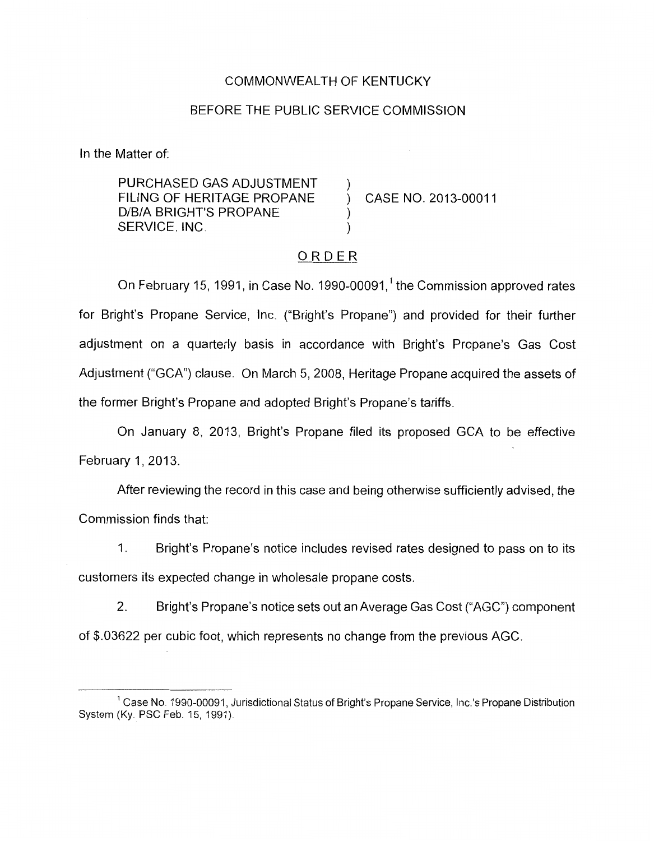### COMMONWEALTH OF KENTUCKY

#### BEFORE THE PUBLIC SERVICE COMMISSION

In the Matter of:

PURCHASED GAS ADJUSTMENT FILING OF HERITAGE PROPANE ) CASE NO. 2013-00011 D/B/A BRIGHT'S PROPANE SERVICE, INC. (2008)

### ORDER

On February 15, 1991, in Case No. 1990-00091,<sup>1</sup> the Commission approved rates for Bright's Propane Service, Inc. ("Bright's Propane") and provided for their further adjustment on a quarterly basis in accordance with Bright's Propane's Gas Cost Adjustment ("GCA") clause. On March 5, 2008, Heritage Propane acquired the assets of the former Bright's Propane and adopted Bright's Propane's tariffs.

On January 8, 2013, Bright's Propane filed its proposed GCA to be effective February 1, 2013.

After reviewing the record in this case and being otherwise sufficiently advised, the Commission finds that:

1. Bright's Propane's notice includes revised rates designed to pass on to its customers its expected change in wholesale propane costs.

2. Bright's Propane's notice sets out an Average Gas Cost ("AGC") component of \$.03622 per cubic foot, which represents no change from the previous AGC.

<sup>&</sup>lt;sup>1</sup> Case No. 1990-00091, Jurisdictional Status of Bright's Propane Service, Inc.'s Propane Distribution System **(Ky** PSC Feb. 15, 1991)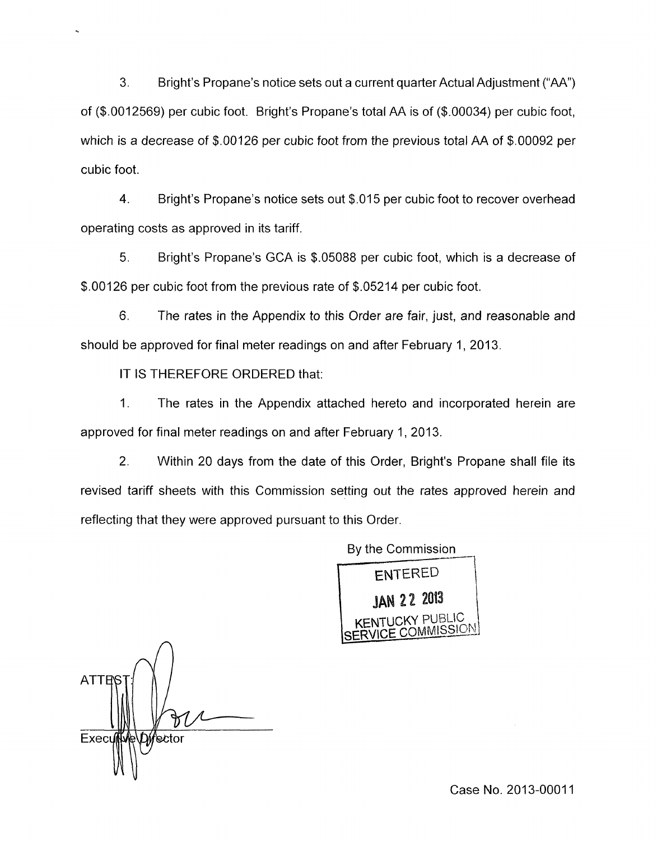**3.** Bright's Propane's notice sets out a ciirrent quarter Actual Adjustment ("AA") of (\$.0012569) per cubic foot. Bright's Propane's total AA is of (\$.00034) per cubic foot, which is a decrease of \$.00126 per cubic foot from the previous total AA of \$.00092 per cubic foot.

4. Bright's Propane's notice sets out \$.015 per cubic foot to recover overhead operating costs as approved in its tariff.

5. Bright's Propane's GCA is \$.05088 per cubic foot, which is a decrease of \$.00126 per cubic foot from the previous rate of \$.05214 per cubic foot.

6. The rates in the Appendix to this Order are fair, just, and reasonable and should be approved for final meter readings on and after February 1, 2013.

IT IS THEREFORE ORDERED that:

1. The rates in the Appendix attached hereto and incorporated herein are approved for final meter readings on and after February 1, 2013.

2. Within 20 days from the date of this Order, Bright's Propane shall file its revised tariff sheets with this Commission setting out the rates approved herein and reflecting that they were approved pursuant to this Order.



**ATTEN** Execu '\e≿tor

Case No. 2013-00011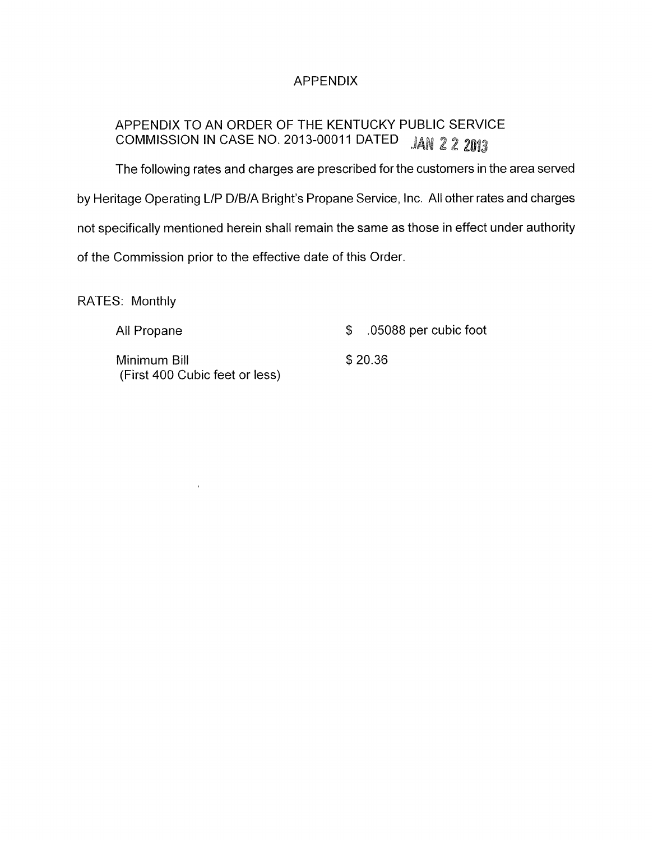## APPENDIX

# APPENDIX TO AN ORDER OF THE KENTUCKY PUBLIC SERVICE COMMISSION IN CASE NO. 2013-00011 DATED *JAN 2 2 2013*

The following rates and charges are prescribed for the customers in the area served by Heritage Operating L/P D/B/A Bright's Propane Service, Inc. All other rates and charges not specifically mentioned herein shall remain the same as those in effect under authority of the Commission prior to the effective date of this Order.

RATES: Monthly

 $\hat{\Lambda}$ 

| All Propane                                    | $$.05088$ per cubic foot |
|------------------------------------------------|--------------------------|
| Minimum Bill<br>(First 400 Cubic feet or less) | \$20.36                  |